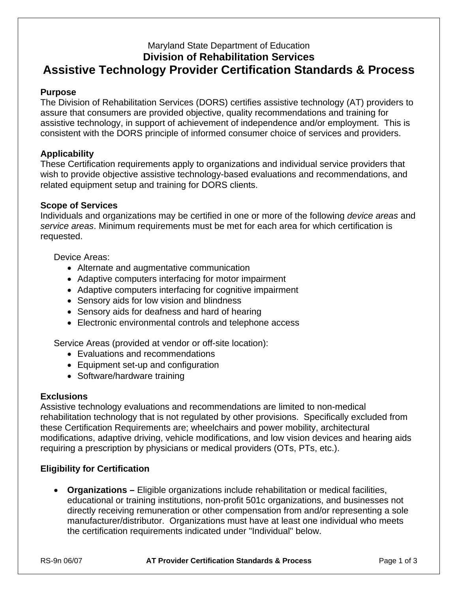# Maryland State Department of Education **Division of Rehabilitation Services Assistive Technology Provider Certification Standards & Process**

## **Purpose**

The Division of Rehabilitation Services (DORS) certifies assistive technology (AT) providers to assure that consumers are provided objective, quality recommendations and training for assistive technology, in support of achievement of independence and/or employment. This is consistent with the DORS principle of informed consumer choice of services and providers.

# **Applicability**

These Certification requirements apply to organizations and individual service providers that wish to provide objective assistive technology-based evaluations and recommendations, and related equipment setup and training for DORS clients.

#### **Scope of Services**

Individuals and organizations may be certified in one or more of the following *device areas* and *service areas*. Minimum requirements must be met for each area for which certification is requested.

#### Device Areas:

- Alternate and augmentative communication
- Adaptive computers interfacing for motor impairment
- Adaptive computers interfacing for cognitive impairment
- Sensory aids for low vision and blindness
- Sensory aids for deafness and hard of hearing
- Electronic environmental controls and telephone access

Service Areas (provided at vendor or off-site location):

- Evaluations and recommendations
- Equipment set-up and configuration
- Software/hardware training

#### **Exclusions**

Assistive technology evaluations and recommendations are limited to non-medical rehabilitation technology that is not regulated by other provisions. Specifically excluded from these Certification Requirements are; wheelchairs and power mobility, architectural modifications, adaptive driving, vehicle modifications, and low vision devices and hearing aids requiring a prescription by physicians or medical providers (OTs, PTs, etc.).

# **Eligibility for Certification**

• **Organizations –** Eligible organizations include rehabilitation or medical facilities, educational or training institutions, non-profit 501c organizations, and businesses not directly receiving remuneration or other compensation from and/or representing a sole manufacturer/distributor. Organizations must have at least one individual who meets the certification requirements indicated under "Individual" below.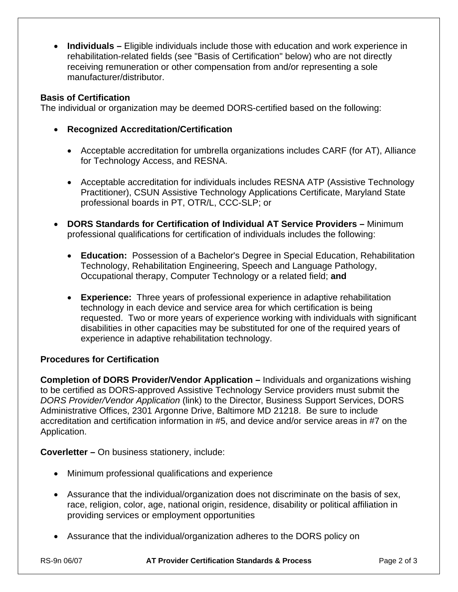• **Individuals –** Eligible individuals include those with education and work experience in rehabilitation-related fields (see "Basis of Certification" below) who are not directly receiving remuneration or other compensation from and/or representing a sole manufacturer/distributor.

## **Basis of Certification**

The individual or organization may be deemed DORS-certified based on the following:

- **Recognized Accreditation/Certification** 
	- Acceptable accreditation for umbrella organizations includes CARF (for AT), Alliance for Technology Access, and RESNA.
	- Acceptable accreditation for individuals includes RESNA ATP (Assistive Technology Practitioner), CSUN Assistive Technology Applications Certificate, Maryland State professional boards in PT, OTR/L, CCC-SLP; or
- **DORS Standards for Certification of Individual AT Service Providers** Minimum professional qualifications for certification of individuals includes the following:
	- **Education:** Possession of a Bachelor's Degree in Special Education, Rehabilitation Technology, Rehabilitation Engineering, Speech and Language Pathology, Occupational therapy, Computer Technology or a related field; **and**
	- **Experience:** Three years of professional experience in adaptive rehabilitation technology in each device and service area for which certification is being requested. Two or more years of experience working with individuals with significant disabilities in other capacities may be substituted for one of the required years of experience in adaptive rehabilitation technology.

# **Procedures for Certification**

**Completion of DORS Provider/Vendor Application –** Individuals and organizations wishing to be certified as DORS-approved Assistive Technology Service providers must submit the *DORS Provider/Vendor Application* (link) to the Director, Business Support Services, DORS Administrative Offices, 2301 Argonne Drive, Baltimore MD 21218. Be sure to include accreditation and certification information in #5, and device and/or service areas in #7 on the Application.

**Coverletter –** On business stationery, include:

- Minimum professional qualifications and experience
- Assurance that the individual/organization does not discriminate on the basis of sex, race, religion, color, age, national origin, residence, disability or political affiliation in providing services or employment opportunities
- Assurance that the individual/organization adheres to the DORS policy on